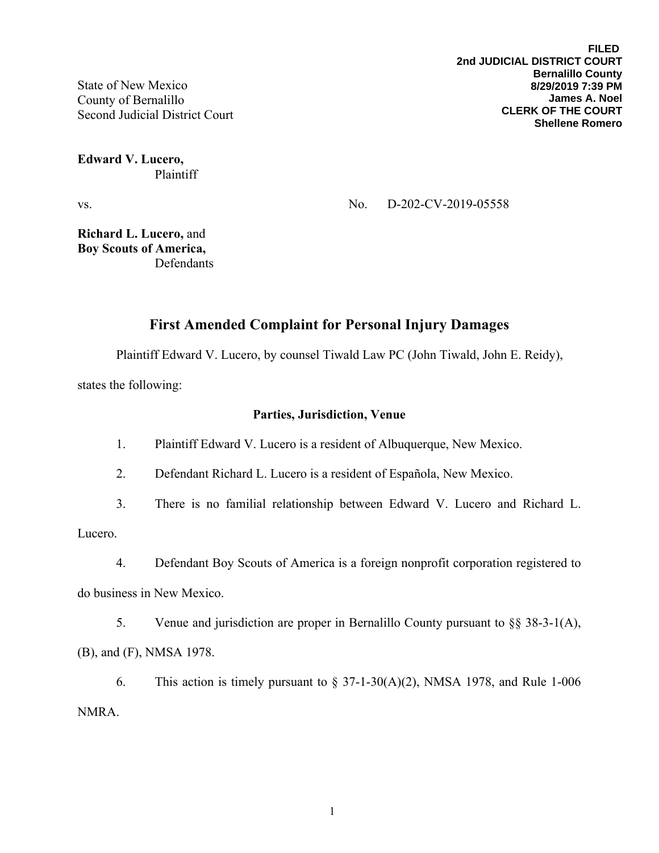State of New Mexico County of Bernalillo Second Judicial District Court

**Edward V. Lucero,** Plaintiff

vs. No. D-202-CV-2019-05558

**Richard L. Lucero,** and **Boy Scouts of America,** Defendants

# **First Amended Complaint for Personal Injury Damages**

Plaintiff Edward V. Lucero, by counsel Tiwald Law PC (John Tiwald, John E. Reidy),

states the following:

### **Parties, Jurisdiction, Venue**

- 1. Plaintiff Edward V. Lucero is a resident of Albuquerque, New Mexico.
- 2. Defendant Richard L. Lucero is a resident of Española, New Mexico.
- 3. There is no familial relationship between Edward V. Lucero and Richard L.

Lucero.

4. Defendant Boy Scouts of America is a foreign nonprofit corporation registered to

do business in New Mexico.

5. Venue and jurisdiction are proper in Bernalillo County pursuant to §§ 38-3-1(A),

(B), and (F), NMSA 1978.

6. This action is timely pursuant to  $\S 37$ -1-30(A)(2), NMSA 1978, and Rule 1-006 NMRA.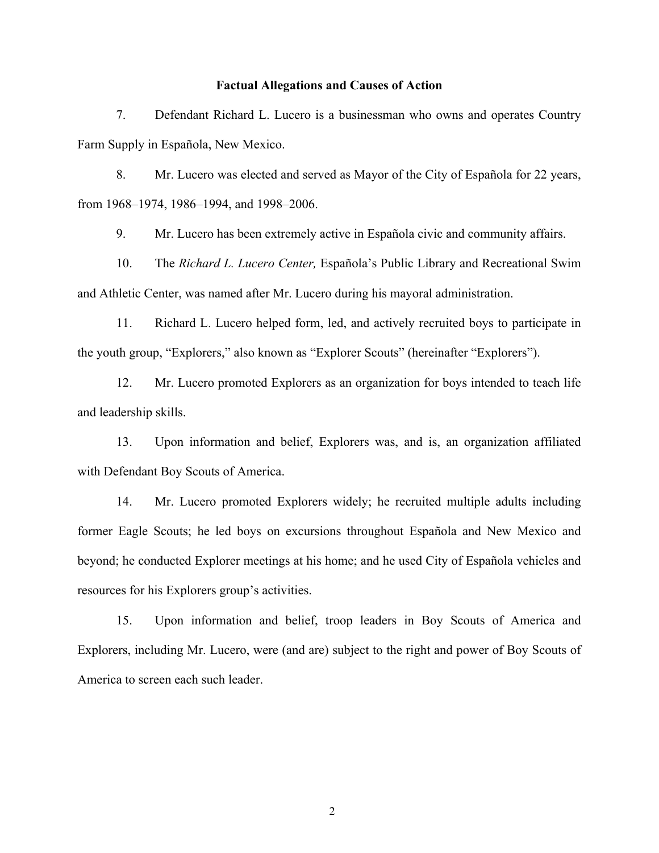#### **Factual Allegations and Causes of Action**

7. Defendant Richard L. Lucero is a businessman who owns and operates Country Farm Supply in Española, New Mexico.

8. Mr. Lucero was elected and served as Mayor of the City of Española for 22 years, from 1968–1974, 1986–1994, and 1998–2006.

9. Mr. Lucero has been extremely active in Española civic and community affairs.

10. The *Richard L. Lucero Center,* Española's Public Library and Recreational Swim and Athletic Center, was named after Mr. Lucero during his mayoral administration.

11. Richard L. Lucero helped form, led, and actively recruited boys to participate in the youth group, "Explorers," also known as "Explorer Scouts" (hereinafter "Explorers").

12. Mr. Lucero promoted Explorers as an organization for boys intended to teach life and leadership skills.

13. Upon information and belief, Explorers was, and is, an organization affiliated with Defendant Boy Scouts of America.

14. Mr. Lucero promoted Explorers widely; he recruited multiple adults including former Eagle Scouts; he led boys on excursions throughout Española and New Mexico and beyond; he conducted Explorer meetings at his home; and he used City of Española vehicles and resources for his Explorers group's activities.

15. Upon information and belief, troop leaders in Boy Scouts of America and Explorers, including Mr. Lucero, were (and are) subject to the right and power of Boy Scouts of America to screen each such leader.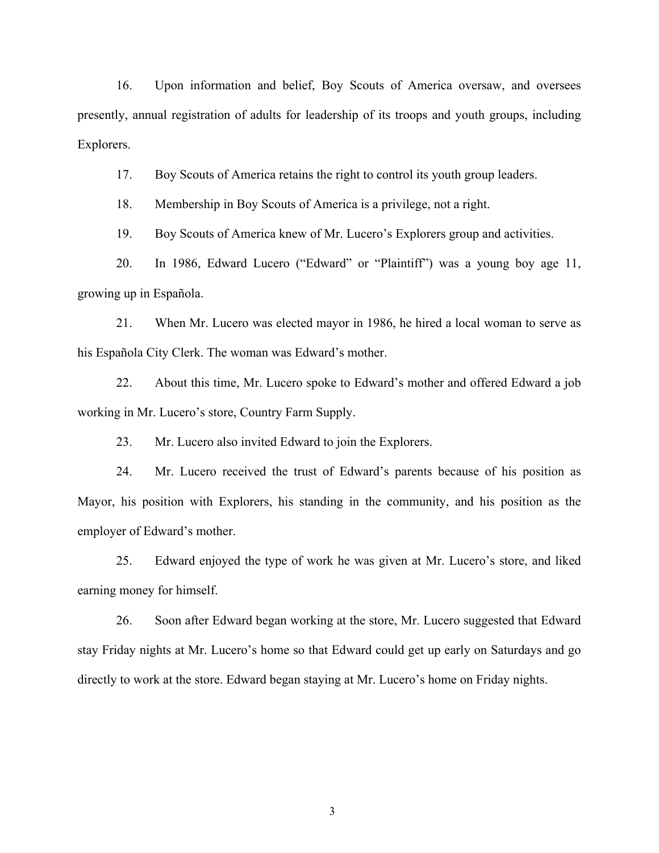16. Upon information and belief, Boy Scouts of America oversaw, and oversees presently, annual registration of adults for leadership of its troops and youth groups, including Explorers.

17. Boy Scouts of America retains the right to control its youth group leaders.

18. Membership in Boy Scouts of America is a privilege, not a right.

19. Boy Scouts of America knew of Mr. Lucero's Explorers group and activities.

20. In 1986, Edward Lucero ("Edward" or "Plaintiff") was a young boy age 11, growing up in Española.

21. When Mr. Lucero was elected mayor in 1986, he hired a local woman to serve as his Española City Clerk. The woman was Edward's mother.

22. About this time, Mr. Lucero spoke to Edward's mother and offered Edward a job working in Mr. Lucero's store, Country Farm Supply.

23. Mr. Lucero also invited Edward to join the Explorers.

24. Mr. Lucero received the trust of Edward's parents because of his position as Mayor, his position with Explorers, his standing in the community, and his position as the employer of Edward's mother.

25. Edward enjoyed the type of work he was given at Mr. Lucero's store, and liked earning money for himself.

26. Soon after Edward began working at the store, Mr. Lucero suggested that Edward stay Friday nights at Mr. Lucero's home so that Edward could get up early on Saturdays and go directly to work at the store. Edward began staying at Mr. Lucero's home on Friday nights.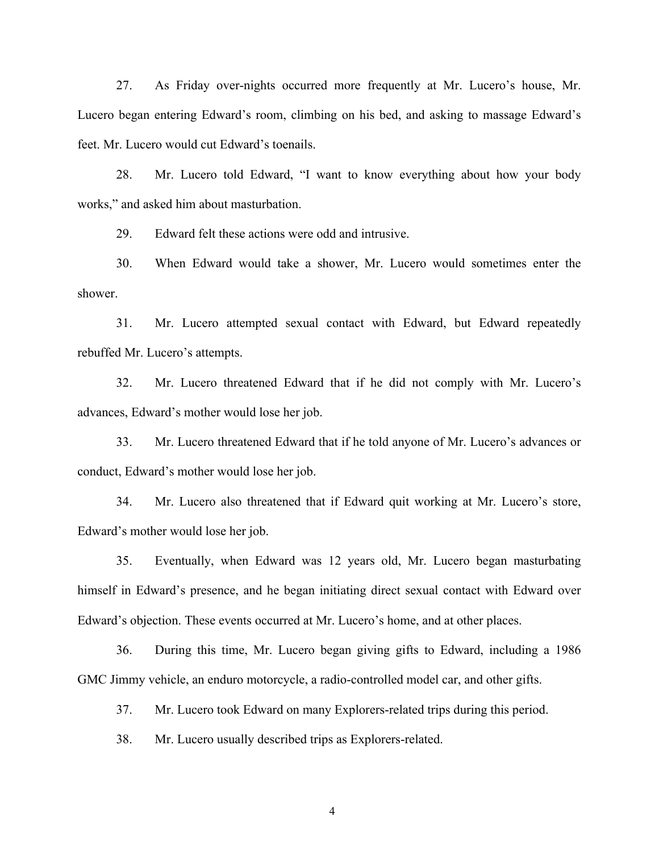27. As Friday over-nights occurred more frequently at Mr. Lucero's house, Mr. Lucero began entering Edward's room, climbing on his bed, and asking to massage Edward's feet. Mr. Lucero would cut Edward's toenails.

28. Mr. Lucero told Edward, "I want to know everything about how your body works," and asked him about masturbation.

29. Edward felt these actions were odd and intrusive.

30. When Edward would take a shower, Mr. Lucero would sometimes enter the shower.

31. Mr. Lucero attempted sexual contact with Edward, but Edward repeatedly rebuffed Mr. Lucero's attempts.

32. Mr. Lucero threatened Edward that if he did not comply with Mr. Lucero's advances, Edward's mother would lose her job.

33. Mr. Lucero threatened Edward that if he told anyone of Mr. Lucero's advances or conduct, Edward's mother would lose her job.

34. Mr. Lucero also threatened that if Edward quit working at Mr. Lucero's store, Edward's mother would lose her job.

35. Eventually, when Edward was 12 years old, Mr. Lucero began masturbating himself in Edward's presence, and he began initiating direct sexual contact with Edward over Edward's objection. These events occurred at Mr. Lucero's home, and at other places.

36. During this time, Mr. Lucero began giving gifts to Edward, including a 1986 GMC Jimmy vehicle, an enduro motorcycle, a radio-controlled model car, and other gifts.

37. Mr. Lucero took Edward on many Explorers-related trips during this period.

38. Mr. Lucero usually described trips as Explorers-related.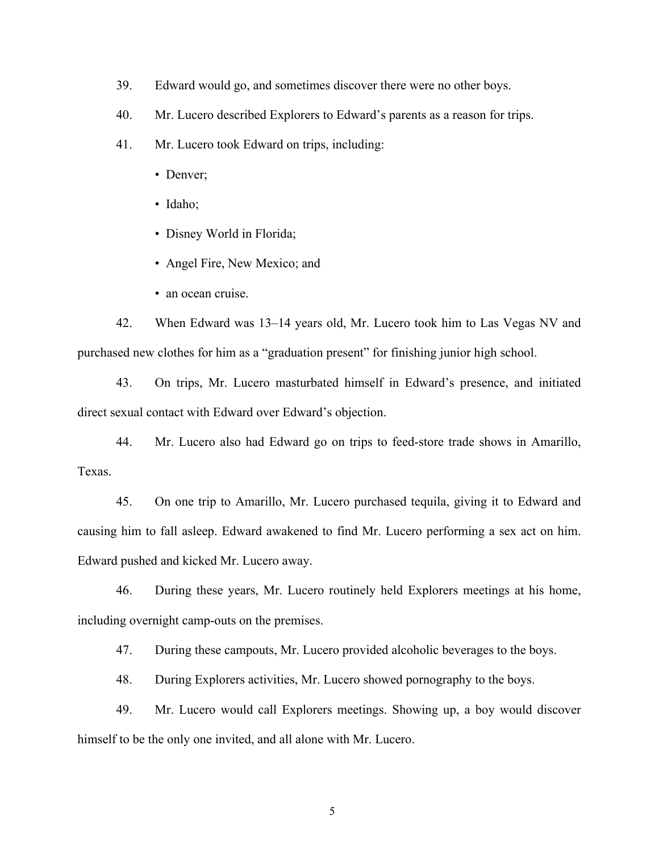- 39. Edward would go, and sometimes discover there were no other boys.
- 40. Mr. Lucero described Explorers to Edward's parents as a reason for trips.
- 41. Mr. Lucero took Edward on trips, including:
	- Denver;
	- Idaho;
	- Disney World in Florida;
	- Angel Fire, New Mexico; and
	- an ocean cruise.

42. When Edward was 13–14 years old, Mr. Lucero took him to Las Vegas NV and purchased new clothes for him as a "graduation present" for finishing junior high school.

43. On trips, Mr. Lucero masturbated himself in Edward's presence, and initiated direct sexual contact with Edward over Edward's objection.

44. Mr. Lucero also had Edward go on trips to feed-store trade shows in Amarillo, Texas.

45. On one trip to Amarillo, Mr. Lucero purchased tequila, giving it to Edward and causing him to fall asleep. Edward awakened to find Mr. Lucero performing a sex act on him. Edward pushed and kicked Mr. Lucero away.

46. During these years, Mr. Lucero routinely held Explorers meetings at his home, including overnight camp-outs on the premises.

47. During these campouts, Mr. Lucero provided alcoholic beverages to the boys.

48. During Explorers activities, Mr. Lucero showed pornography to the boys.

49. Mr. Lucero would call Explorers meetings. Showing up, a boy would discover himself to be the only one invited, and all alone with Mr. Lucero.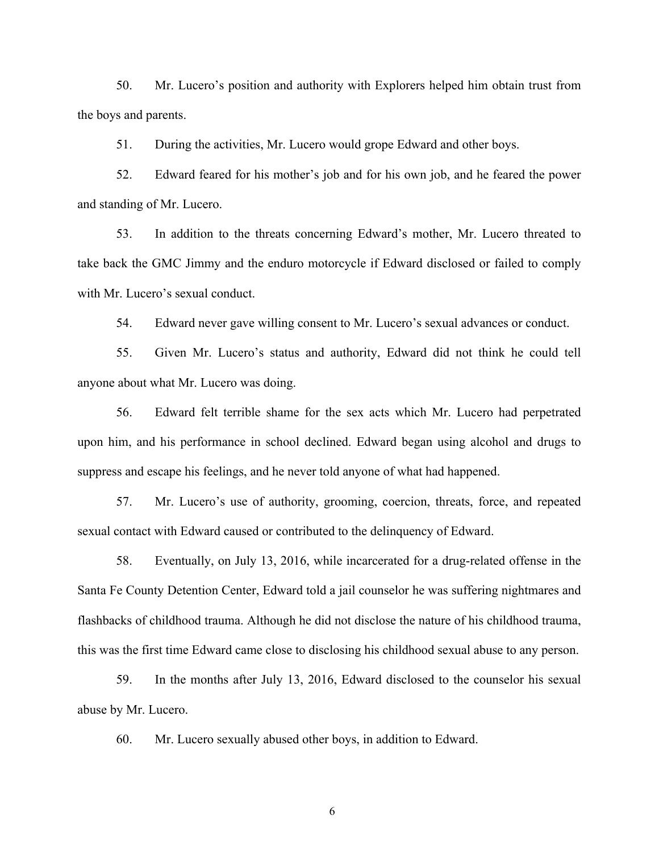50. Mr. Lucero's position and authority with Explorers helped him obtain trust from the boys and parents.

51. During the activities, Mr. Lucero would grope Edward and other boys.

52. Edward feared for his mother's job and for his own job, and he feared the power and standing of Mr. Lucero.

53. In addition to the threats concerning Edward's mother, Mr. Lucero threated to take back the GMC Jimmy and the enduro motorcycle if Edward disclosed or failed to comply with Mr. Lucero's sexual conduct.

54. Edward never gave willing consent to Mr. Lucero's sexual advances or conduct.

55. Given Mr. Lucero's status and authority, Edward did not think he could tell anyone about what Mr. Lucero was doing.

56. Edward felt terrible shame for the sex acts which Mr. Lucero had perpetrated upon him, and his performance in school declined. Edward began using alcohol and drugs to suppress and escape his feelings, and he never told anyone of what had happened.

57. Mr. Lucero's use of authority, grooming, coercion, threats, force, and repeated sexual contact with Edward caused or contributed to the delinquency of Edward.

58. Eventually, on July 13, 2016, while incarcerated for a drug-related offense in the Santa Fe County Detention Center, Edward told a jail counselor he was suffering nightmares and flashbacks of childhood trauma. Although he did not disclose the nature of his childhood trauma, this was the first time Edward came close to disclosing his childhood sexual abuse to any person.

59. In the months after July 13, 2016, Edward disclosed to the counselor his sexual abuse by Mr. Lucero.

60. Mr. Lucero sexually abused other boys, in addition to Edward.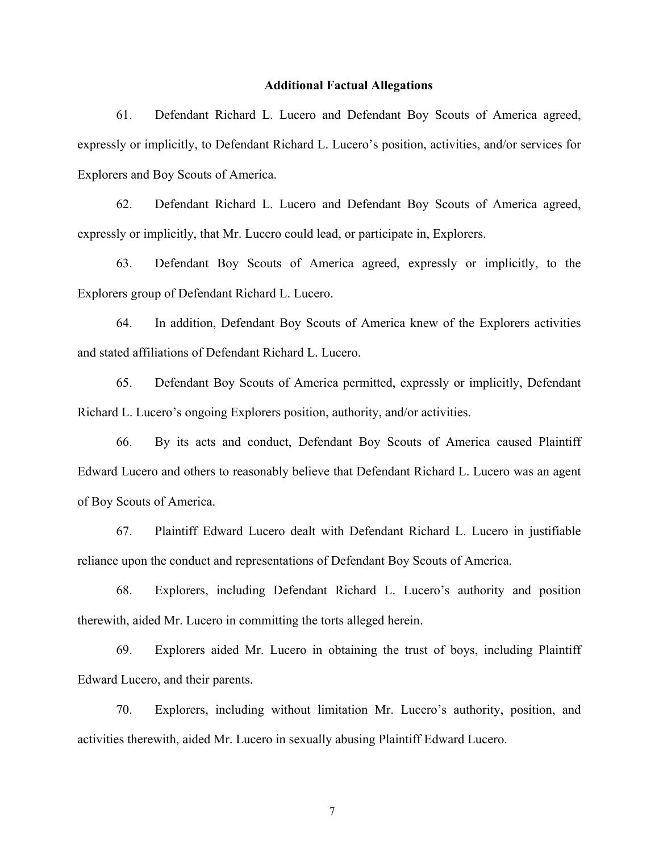#### **Additional Factual Allegations**

61. Defendant Richard L. Lucero and Defendant Boy Scouts of America agreed, expressly or implicitly, to Defendant Richard L. Lucero's position, activities, and/or services for Explorers and Boy Scouts of America.

62. Defendant Richard L. Lucero and Defendant Boy Scouts of America agreed, expressly or implicitly, that Mr. Lucero could lead, or participate in, Explorers.

63. Defendant Boy Scouts of America agreed, expressly or implicitly, to the Explorers group of Defendant Richard L. Lucero.

64. In addition, Defendant Boy Scouts of America knew of the Explorers activities and stated affiliations of Defendant Richard L. Lucero.

65. Defendant Boy Scouts of America permitted, expressly or implicitly, Defendant Richard L. Lucero's ongoing Explorers position, authority, and/or activities.

66. By its acts and conduct, Defendant Boy Scouts of America caused Plaintiff Edward Lucero and others to reasonably believe that Defendant Richard L. Lucero was an agent of Boy Scouts of America.

67. Plaintiff Edward Lucero dealt with Defendant Richard L. Lucero in justifiable reliance upon the conduct and representations of Defendant Boy Scouts of America.

68. Explorers, including Defendant Richard L. Lucero's authority and position therewith, aided Mr. Lucero in committing the torts alleged herein.

69. Explorers aided Mr. Lucero in obtaining the trust of boys, including Plaintiff Edward Lucero, and their parents.

70. Explorers, including without limitation Mr. Lucero's authority, position, and activities therewith, aided Mr. Lucero in sexually abusing Plaintiff Edward Lucero.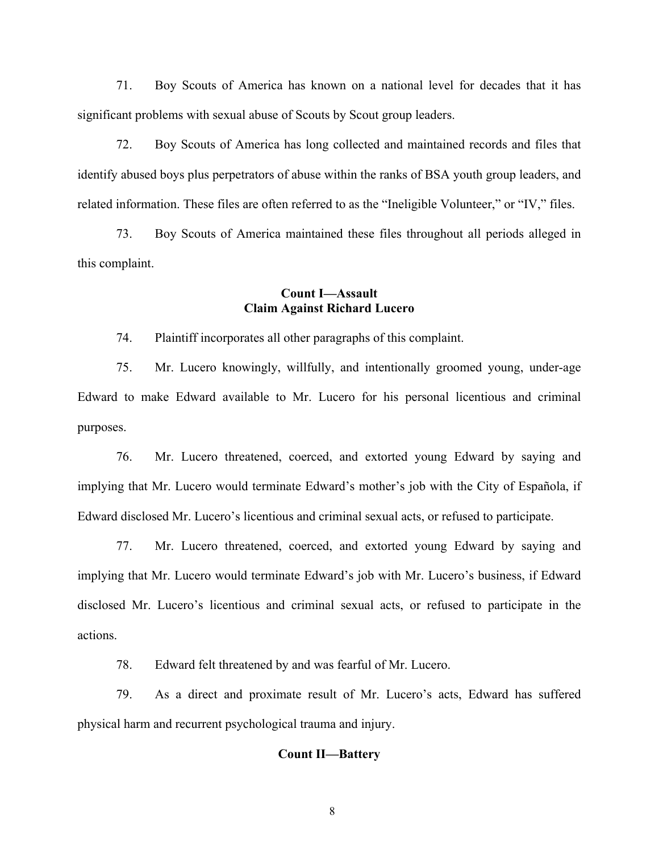71. Boy Scouts of America has known on a national level for decades that it has significant problems with sexual abuse of Scouts by Scout group leaders.

72. Boy Scouts of America has long collected and maintained records and files that identify abused boys plus perpetrators of abuse within the ranks of BSA youth group leaders, and related information. These files are often referred to as the "Ineligible Volunteer," or "IV," files.

73. Boy Scouts of America maintained these files throughout all periods alleged in this complaint.

### **Count I—Assault Claim Against Richard Lucero**

74. Plaintiff incorporates all other paragraphs of this complaint.

75. Mr. Lucero knowingly, willfully, and intentionally groomed young, under-age Edward to make Edward available to Mr. Lucero for his personal licentious and criminal purposes.

76. Mr. Lucero threatened, coerced, and extorted young Edward by saying and implying that Mr. Lucero would terminate Edward's mother's job with the City of Española, if Edward disclosed Mr. Lucero's licentious and criminal sexual acts, or refused to participate.

77. Mr. Lucero threatened, coerced, and extorted young Edward by saying and implying that Mr. Lucero would terminate Edward's job with Mr. Lucero's business, if Edward disclosed Mr. Lucero's licentious and criminal sexual acts, or refused to participate in the actions.

78. Edward felt threatened by and was fearful of Mr. Lucero.

79. As a direct and proximate result of Mr. Lucero's acts, Edward has suffered physical harm and recurrent psychological trauma and injury.

#### **Count II—Battery**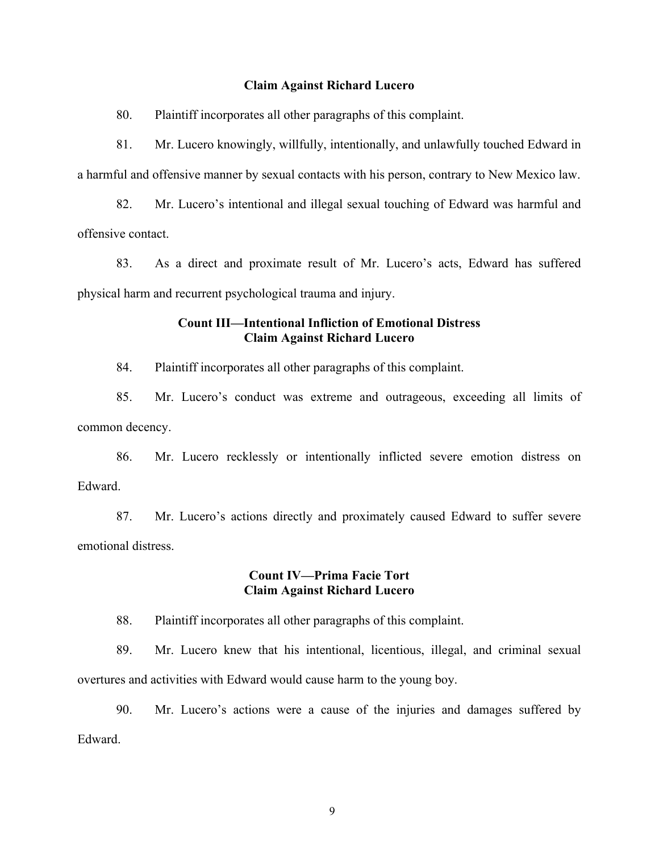#### **Claim Against Richard Lucero**

80. Plaintiff incorporates all other paragraphs of this complaint.

81. Mr. Lucero knowingly, willfully, intentionally, and unlawfully touched Edward in a harmful and offensive manner by sexual contacts with his person, contrary to New Mexico law.

82. Mr. Lucero's intentional and illegal sexual touching of Edward was harmful and offensive contact.

83. As a direct and proximate result of Mr. Lucero's acts, Edward has suffered physical harm and recurrent psychological trauma and injury.

### **Count III—Intentional Infliction of Emotional Distress Claim Against Richard Lucero**

84. Plaintiff incorporates all other paragraphs of this complaint.

85. Mr. Lucero's conduct was extreme and outrageous, exceeding all limits of common decency.

86. Mr. Lucero recklessly or intentionally inflicted severe emotion distress on Edward.

87. Mr. Lucero's actions directly and proximately caused Edward to suffer severe emotional distress.

#### **Count IV—Prima Facie Tort Claim Against Richard Lucero**

88. Plaintiff incorporates all other paragraphs of this complaint.

89. Mr. Lucero knew that his intentional, licentious, illegal, and criminal sexual overtures and activities with Edward would cause harm to the young boy.

90. Mr. Lucero's actions were a cause of the injuries and damages suffered by Edward.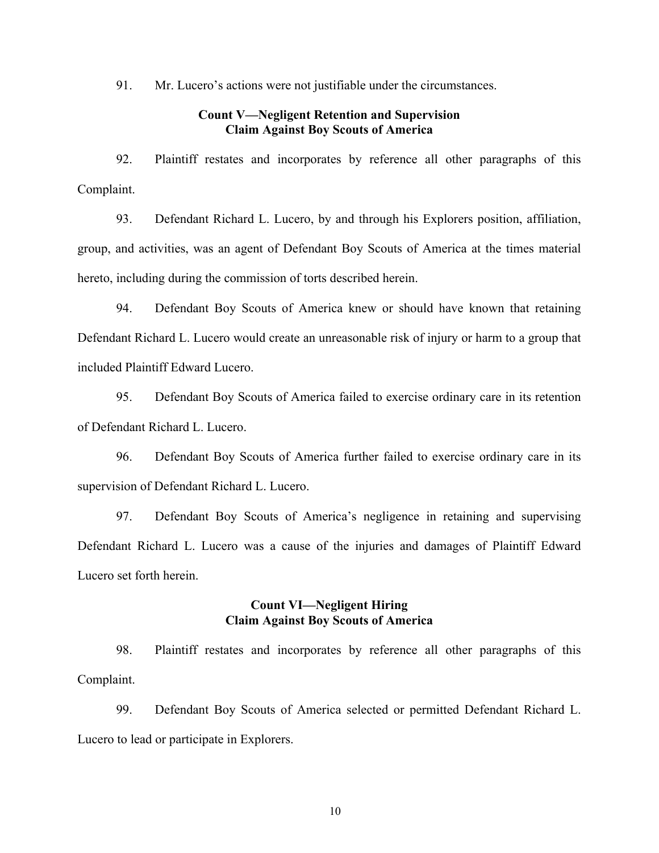91. Mr. Lucero's actions were not justifiable under the circumstances.

### **Count V—Negligent Retention and Supervision Claim Against Boy Scouts of America**

92. Plaintiff restates and incorporates by reference all other paragraphs of this Complaint.

93. Defendant Richard L. Lucero, by and through his Explorers position, affiliation, group, and activities, was an agent of Defendant Boy Scouts of America at the times material hereto, including during the commission of torts described herein.

94. Defendant Boy Scouts of America knew or should have known that retaining Defendant Richard L. Lucero would create an unreasonable risk of injury or harm to a group that included Plaintiff Edward Lucero.

95. Defendant Boy Scouts of America failed to exercise ordinary care in its retention of Defendant Richard L. Lucero.

96. Defendant Boy Scouts of America further failed to exercise ordinary care in its supervision of Defendant Richard L. Lucero.

97. Defendant Boy Scouts of America's negligence in retaining and supervising Defendant Richard L. Lucero was a cause of the injuries and damages of Plaintiff Edward Lucero set forth herein.

#### **Count VI—Negligent Hiring Claim Against Boy Scouts of America**

98. Plaintiff restates and incorporates by reference all other paragraphs of this Complaint.

99. Defendant Boy Scouts of America selected or permitted Defendant Richard L. Lucero to lead or participate in Explorers.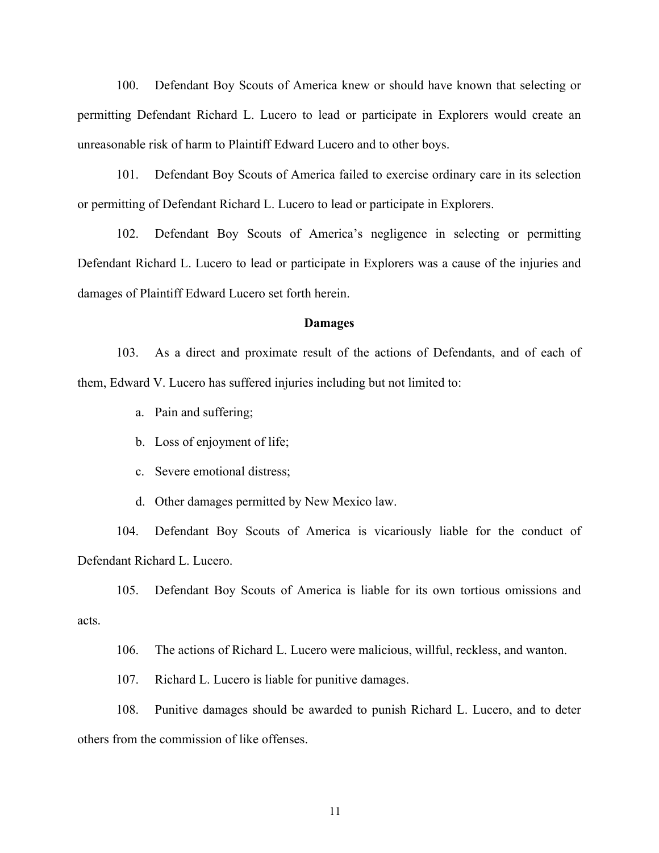100. Defendant Boy Scouts of America knew or should have known that selecting or permitting Defendant Richard L. Lucero to lead or participate in Explorers would create an unreasonable risk of harm to Plaintiff Edward Lucero and to other boys.

101. Defendant Boy Scouts of America failed to exercise ordinary care in its selection or permitting of Defendant Richard L. Lucero to lead or participate in Explorers.

102. Defendant Boy Scouts of America's negligence in selecting or permitting Defendant Richard L. Lucero to lead or participate in Explorers was a cause of the injuries and damages of Plaintiff Edward Lucero set forth herein.

#### **Damages**

103. As a direct and proximate result of the actions of Defendants, and of each of them, Edward V. Lucero has suffered injuries including but not limited to:

a. Pain and suffering;

b. Loss of enjoyment of life;

c. Severe emotional distress;

d. Other damages permitted by New Mexico law.

104. Defendant Boy Scouts of America is vicariously liable for the conduct of Defendant Richard L. Lucero.

105. Defendant Boy Scouts of America is liable for its own tortious omissions and acts.

106. The actions of Richard L. Lucero were malicious, willful, reckless, and wanton.

107. Richard L. Lucero is liable for punitive damages.

108. Punitive damages should be awarded to punish Richard L. Lucero, and to deter others from the commission of like offenses.